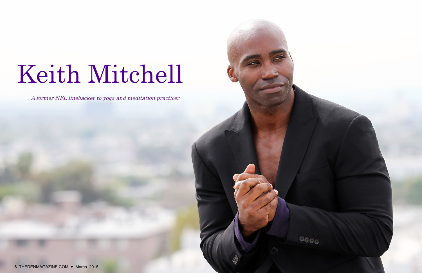## Keith Mitchell



A former NFL linebacker to yoga and meditation practicer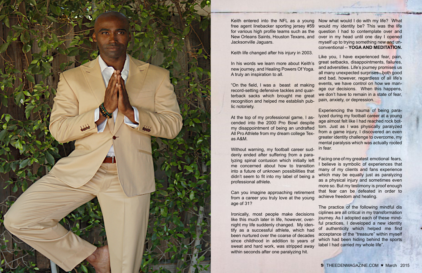

In his words we learn more about Keith's new journey, and Healing Powers Of Yoga. A truly an inspiration to all. "On the field, I was a beast at making record-setting defensive tackles and quar terback sacks which brought me great Like you, I have experienced fear, pain, great setbacks, disappointments, failures, and adversities. Life's journey promises us all many unexpected surprises - both good and bad, however, regardless of all life's events, we have control on how we manage our decisions. When this happens, we don't have to remain in a state of fear,

Keith life changed after his injury in 2003.

Keith entered into the NFL as a young free agent linebacker sporting jersey #59 for various high profile teams such as the New Orleans Saints, Houston Texans, and Jacksonville Jaguars. Now what would I do with my life? What would my identity be? This was the life question I had to contemplate over and over in my head until one day I opened myself up to trying something new and unconventional – **YOGA AND MEDITATION.**

lyzing spinal contusion which initially left me concerned about how to transition into a future of unknown possibilities that didn't seem to fit into my label of being a professional athlete. Can you imagine approaching retirement from a career you truly love at the young age of 31?

At the top of my professional game, I ascended into the 2000 Pro Bowl despite my disappointment of being an undrafted All Pro Athlete from my dream college Tex as A&M. Experiencing the trauma of being para lyzed during my football career at a young age almost felt like I had reached rock bottom. Just as I was physically paralyzed from a game injury, I discovered an even greater identity challenge to overcome, my mental paralysis which was actually rooted in fear.

recognition and helped me establish pub lic notoriety. pain, anxiety, or depression.

Without warning, my football career sud denly ended after suffering from a para - Facing one of my greatest emotional fears, I believe is symbolic of experiences that many of my clients and fans experience which may be equally just as paralyzing as a physical injury and sometimes even more so. But my testimony is proof enough that fear can be defeated in order to achieve freedom and healing.

Ironically, most people make decisions like this much later in life, however, over night my life suddenly changed. My iden tify as a successful athlete, which had been nurtured over the coarse of decades since childhood in addition to years of sweat and hard work, was stripped away within seconds after one paralyzing hit. The practice of the following mindful dis ciplines are all critical in my transformation journey. As I adopted each of these mind ful practices, I developed a new identity of authenticity which helped me find acceptance of the "treasure" within myself which had been hiding behind the sports label I had carried my whole life".